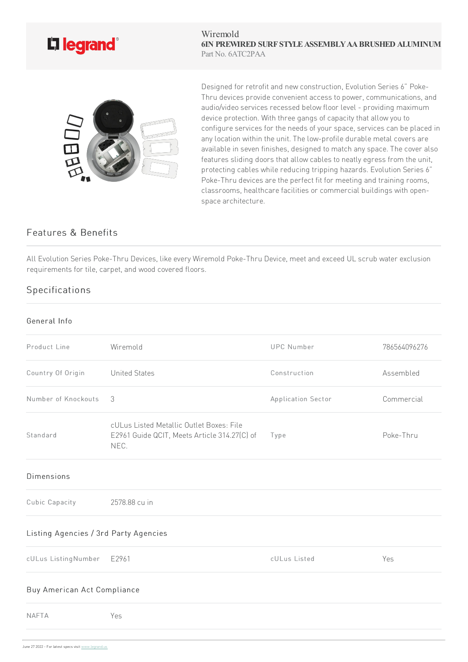

Wiremold **6IN PREWIRED SURF STYLEASSEMBLYAABRUSHED ALUMINUM** Part No. 6ATC2PAA



Designed for retrofit and new construction, Evolution Series 6" Poke-Thru devices provide convenient access to power, communications, and audio/video services recessed below floor level - providing maximum device protection. With three gangs of capacity that allow you to configure services for the needs of your space, services can be placed in any location within the unit. The low-profile durable metal covers are available in seven finishes, designed to match any space. The cover also features sliding doors that allow cables to neatly egress from the unit, protecting cables while reducing tripping hazards. Evolution Series 6" Poke-Thru devices are the perfect fit for meeting and training rooms, classrooms, healthcare facilities or commercial buildings with openspace architecture.

## Features & Benefits

All Evolution Series Poke-Thru Devices, like every Wiremold Poke-Thru Device, meet and exceed UL scrub water exclusion requirements for tile, carpet, and wood covered floors.

## Specifications

## General Info

| Product Line                          | Wiremold                                                                                         | <b>UPC Number</b>  | 786564096276 |
|---------------------------------------|--------------------------------------------------------------------------------------------------|--------------------|--------------|
| Country Of Origin                     | <b>United States</b>                                                                             | Construction       | Assembled    |
| Number of Knockouts                   | 3                                                                                                | Application Sector | Commercial   |
| Standard                              | cULus Listed Metallic Outlet Boxes: File<br>E2961 Guide QCIT, Meets Article 314.27(C) of<br>NEC. | Type               | Poke-Thru    |
| <b>Dimensions</b>                     |                                                                                                  |                    |              |
| Cubic Capacity                        | 2578.88 cu in                                                                                    |                    |              |
| Listing Agencies / 3rd Party Agencies |                                                                                                  |                    |              |
| cULus ListingNumber                   | E2961                                                                                            | cULus Listed       | Yes          |
| Buy American Act Compliance           |                                                                                                  |                    |              |
| <b>NAFTA</b>                          | Yes                                                                                              |                    |              |
|                                       |                                                                                                  |                    |              |